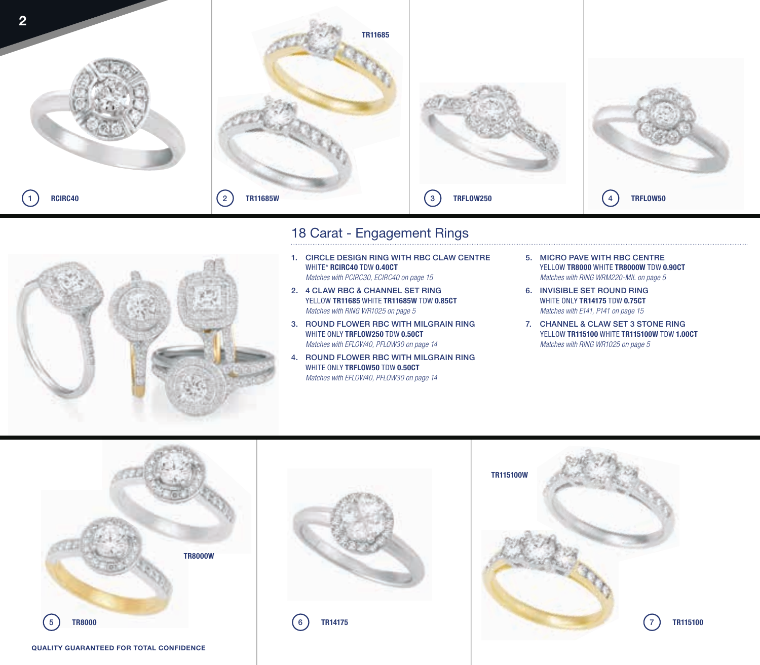

## 18 Carat - Engagement Rings

- 
- 1. CIRCLE DESIGN RING WITH RBC CLAW CENTRE WHITE\* **RCIRC40** TDW **0.40CT** *Matches with PCIRC30, ECIRC40 on page 15*
- 2. 4 CLAW RBC & CHANNEL SET RING YELLOW **TR11685** WHITE **TR11685W** TDW **0.85CT** *Matches with RING WR1025 on page 5*
- 3. ROUND FLOWER RBC WITH MILGRAIN RING WHITE ONLY **TRFLOW250** TDW **0.50CT** *Matches with EFLOW40, PFLOW30 on page 14*
- 4. ROUND FLOWER RBC WITH MILGRAIN RING WHITE ONLY **TRFLOW50** TDW **0.50CT** *Matches with EFLOW40, PFLOW30 on page 14*
- 5. MICRO PAVE WITH RBC CENTRE YELLOW **TR8000** WHITE **TR8000W** TDW **0.90CT** *Matches with RING WRM220-MIL on page 5*
- 6. INVISIBLE SET ROUND RING WHITE ONLY **TR14175** TDW **0.75CT** *Matches with E141, P141 on page 15*
- 7. CHANNEL & CLAW SET 3 STONE RING YELLOW **TR115100** WHITE **TR115100W** TDW **1.00CT** *Matches with RING WR1025 on page 5*









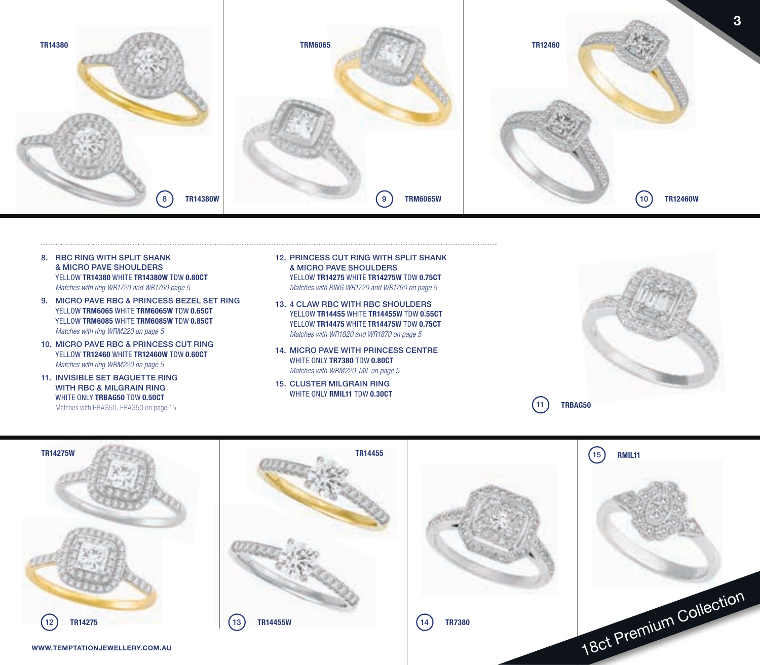

- 8. RBC RING WITH SPLIT SHANK & MICRO PAVE SHOULDERS YELLOW **TR14380** WHITE **TR14380W** TDW **0.80CT** *Matches with ring WR1720 and WR1760 page 5*
- 9. MICRO PAVE RBC & PRINCESS BEZEL SET RING YELLOW **TRM6065** WHITE **TRM6065W** TDW **0.65CT** YELLOW **TRM6085** WHITE **TRM6085W** TDW **0.85CT** *Matches with ring WRM220 on page 5*
- 10. MICRO PAVE RBC & PRINCESS CUT RING YELLOW **TR12460** WHITE **TR12460W** TDW **0.60CT** *Matches with ring WRM220 on page 5*
- 11. INVISIBLE SET BAGUETTE RING WITH RBC & MILGRAIN RING WHITE ONLY **TRBAG50** TDW **0.50CT** Matches with PBAG50, EBAG50 on page 15
- 12. PRINCESS CUT RING WITH SPLIT SHANK & MICRO PAVE SHOULDERS YELLOW **TR14275** WHITE **TR14275W** TDW **0.75CT** *Matches with RING WR1720 and WR1760 on page 5*
- 13. 4 CLAW RBC WITH RBC SHOULDERS YELLOW **TR14455** WHITE **TR14455W** TDW **0.55CT** YELLOW **TR14475** WHITE **TR14475W** TDW **0.75CT** *Matches with WR1820 and WR1870 on page 5*
- 14. MICRO PAVE WITH PRINCESS CENTRE WHITE ONLY **TR7380** TDW **0.80CT** *Matches with WRM220-MIL on page 5*
- 15. CLUSTER MILGRAIN RING WHITE ONLY **RMIL11** TDW **0.30CT**